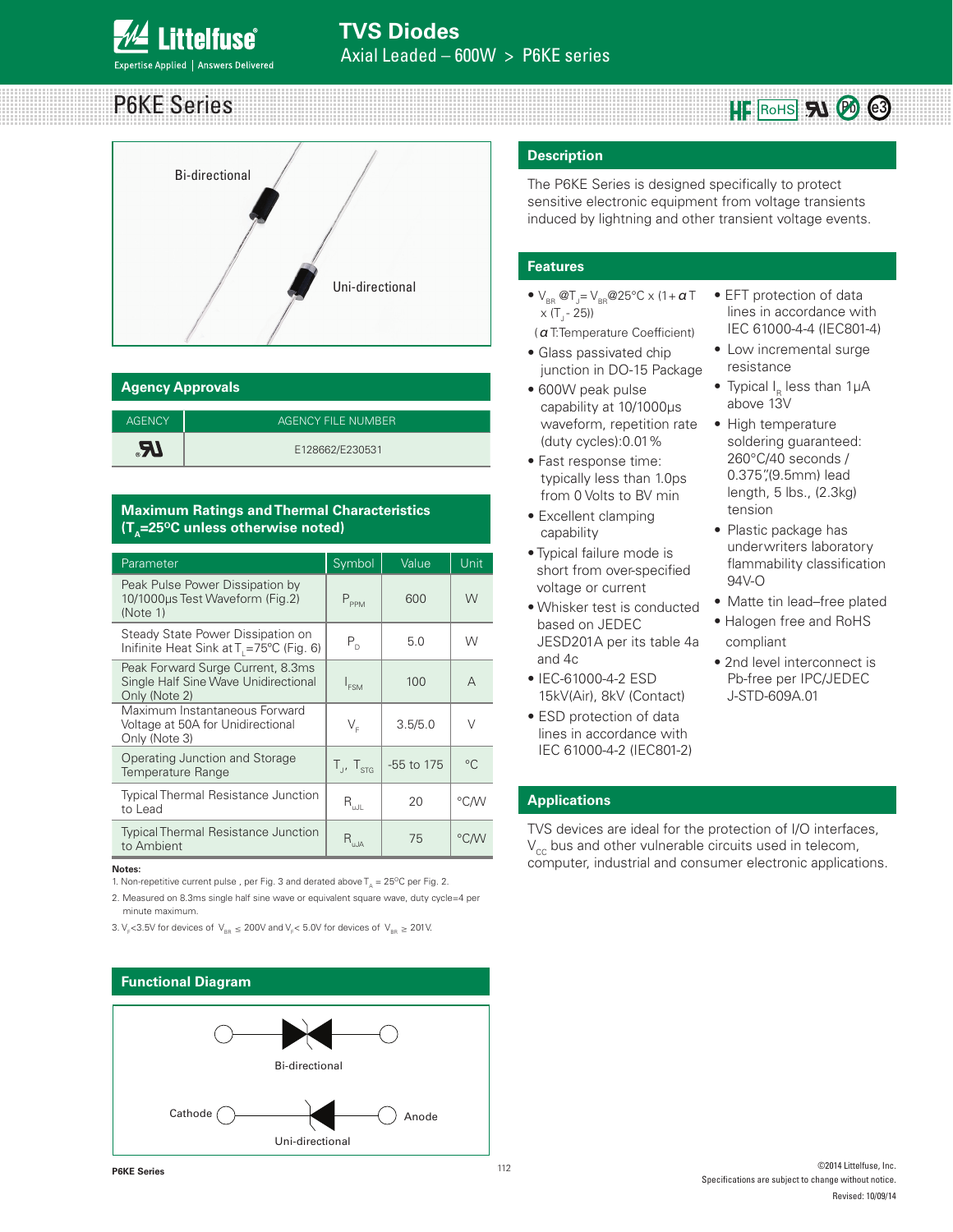# P6KE Series



| <b>Agency Approvals</b> |                    |  |  |  |
|-------------------------|--------------------|--|--|--|
|                         |                    |  |  |  |
| <b>AGENCY</b>           | AGENCY FILE NUMBER |  |  |  |
|                         | E128662/E230531    |  |  |  |

## **Maximum Ratings and Thermal Characteristics (T<sub>A</sub>=25<sup>o</sup>C unless otherwise noted)**

| Parameter                                                                                  | Symbol                      | Value        | Unit        |
|--------------------------------------------------------------------------------------------|-----------------------------|--------------|-------------|
| Peak Pulse Power Dissipation by<br>10/1000us Test Waveform (Fig.2)<br>(Note 1)             | $P_{PPM}$                   | 600          | W           |
| Steady State Power Dissipation on<br>Inifinite Heat Sink at T <sub>1</sub> =75°C (Fig. 6)  | $P_{D}$                     | 5.0          | W           |
| Peak Forward Surge Current, 8.3ms<br>Single Half Sine Wave Unidirectional<br>Only (Note 2) | $I_{FSM}$                   | 100          | A           |
| Maximum Instantaneous Forward<br>Voltage at 50A for Unidirectional<br>Only (Note 3)        | $V_{\varepsilon}$           | 3.5/5.0      | V           |
| Operating Junction and Storage<br><b>Temperature Range</b>                                 | $T_{J}$ , $T_{STG}$         | $-55$ to 175 | $^{\circ}C$ |
| <b>Typical Thermal Resistance Junction</b><br>to Lead                                      | $\mathsf{R}_{\mathsf{uJL}}$ | 20           | °C∕W        |
| <b>Typical Thermal Resistance Junction</b><br>to Ambient                                   | $R_{\mbox{\tiny uJA}}$      | 75           | °C/W        |

#### **Notes:**

1. Non-repetitive current pulse, per Fig. 3 and derated above  $T_A = 25^{\circ}C$  per Fig. 2.

2. Measured on 8.3ms single half sine wave or equivalent square wave, duty cycle=4 per minute maximum.

3. V<sub>F</sub><3.5V for devices of V<sub>BR</sub>  $\leq$  200V and V<sub>F</sub>< 5.0V for devices of V<sub>BR</sub>  $\geq$  201V.

#### **Functional Diagram**



#### **Description**

The P6KE Series is designed specifically to protect sensitive electronic equipment from voltage transients induced by lightning and other transient voltage events.

#### **Features**

- $V_{BR}$  @T<sub>J</sub>=  $V_{BR}$ @25°C x (1+  $a$  T  $\times$  (T  $- 25$ ))
- (αT:Temperature Coefficient)
- Glass passivated chip junction in DO-15 Package
- 600W peak pulse capability at 10/1000μs waveform, repetition rate (duty cycles):0.01%
- Fast response time: typically less than 1.0ps from 0 Volts to BV min
- Excellent clamping capability
- Typical failure mode is short from over-specified voltage or current
- Whisker test is conducted based on JEDEC JESD201A per its table 4a and 4c
- IEC-61000-4-2 ESD 15kV(Air), 8kV (Contact)
- ESD protection of data lines in accordance with IEC 61000-4-2 (IEC801-2)

• EFT protection of data lines in accordance with IEC 61000-4-4 (IEC801-4)

 $HF$  RoHS  $\mathbf{S}$   $\mathbf{\emptyset}$   $\mathbf{\emptyset}$ 

- Low incremental surge resistance
- Typical I $_{\textrm{\tiny{R}}}$  less than 1µA above 13V
- High temperature soldering guaranteed: 260°C/40 seconds / 0.375",(9.5mm) lead length, 5 lbs., (2.3kg) tension
- Plastic package has underwriters laboratory flammability classification 94V-O
- Matte tin lead–free plated
- Halogen free and RoHS compliant
- 2nd level interconnect is Pb-free per IPC/JEDEC J-STD-609A.01

### **Applications**

TVS devices are ideal for the protection of I/O interfaces,  $V_{cc}$  bus and other vulnerable circuits used in telecom, computer, industrial and consumer electronic applications.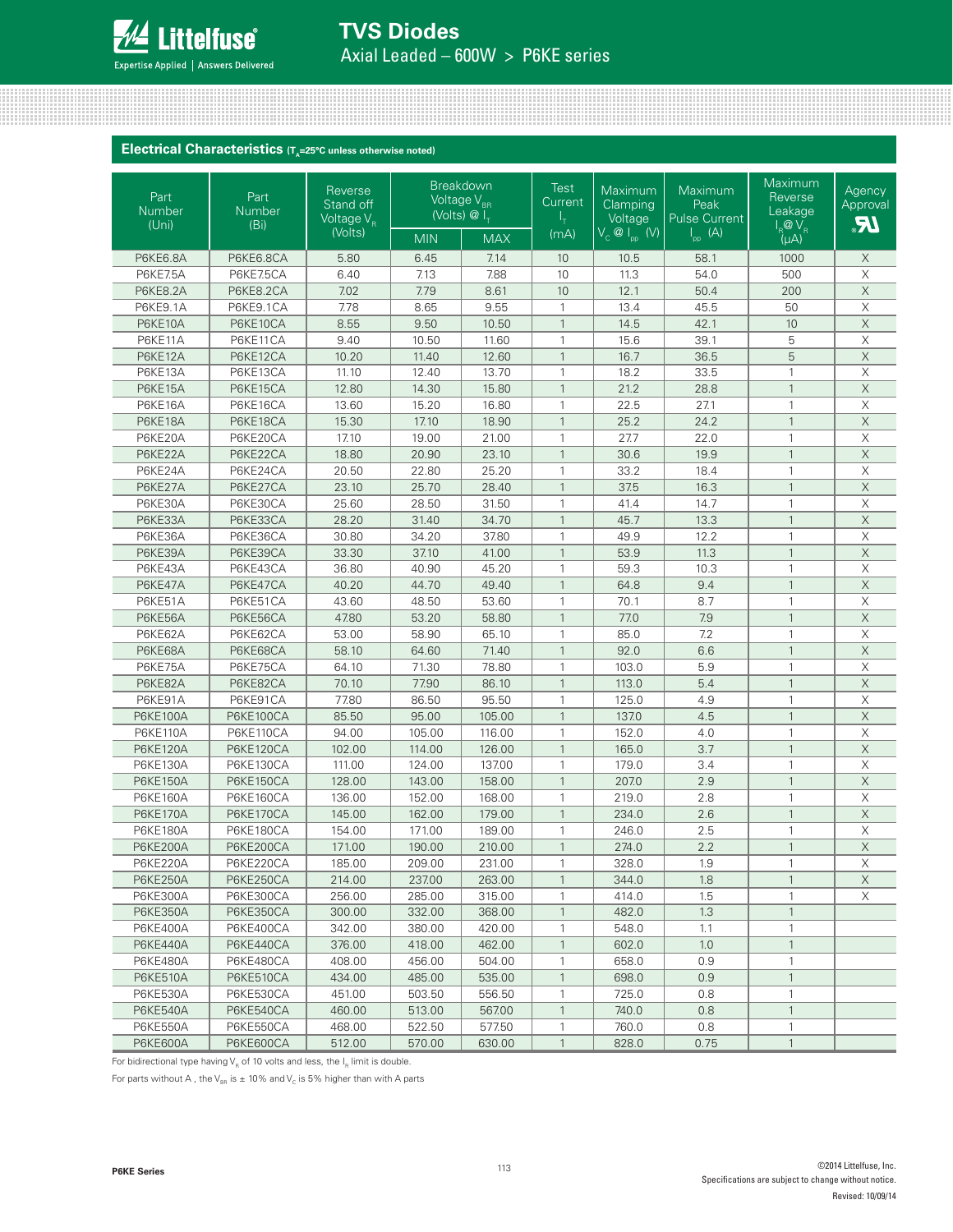

**TVS Diodes**  Axial Leaded – 600W > P6KE series

#### **Electrical Characteristics** (T<sub>A</sub>=25°C unless otherwise noted)

| Part<br><b>Number</b><br>(Uni) | Part<br><b>Number</b><br>(B <sub>i</sub> ) | Reverse<br>Stand off<br>Voltage $V_{\rm R}$ |            | <b>Breakdown</b><br>Voltage V <sub>BR</sub><br>(Volts) $\overline{\omega}$ I <sub>T</sub> | <b>Test</b><br>Current | Maximum<br>Clamping<br>Voltage | Maximum<br>Peak<br><b>Pulse Current</b> | Maximum<br>Reverse<br>Leakage<br>$I_R$ $\overline{Q}$ $V_R$ | Agency<br>Approval<br><b>JR</b> |
|--------------------------------|--------------------------------------------|---------------------------------------------|------------|-------------------------------------------------------------------------------------------|------------------------|--------------------------------|-----------------------------------------|-------------------------------------------------------------|---------------------------------|
|                                |                                            | (Volts)                                     | <b>MIN</b> | <b>MAX</b>                                                                                | (mA)                   | $V_c \otimes I_{pp}$ (V)       | $\vert_{\text{pp}}$ (A)                 | (μA)                                                        |                                 |
| <b>P6KE6.8A</b>                | P6KE6.8CA                                  | 5.80                                        | 6.45       | 7.14                                                                                      | 10                     | 10.5                           | 58.1                                    | 1000                                                        | X                               |
| <b>P6KE7.5A</b>                | P6KE7.5CA                                  | 6.40                                        | 7.13       | 7.88                                                                                      | 10                     | 11.3                           | 54.0                                    | 500                                                         | $\mathsf X$                     |
| <b>P6KE8.2A</b>                | P6KE8.2CA                                  | 7.02                                        | 7.79       | 8.61                                                                                      | 10                     | 12.1                           | 50.4                                    | 200                                                         | $\mathsf X$                     |
| P6KE9.1A                       | P6KE9.1CA                                  | 7.78                                        | 8.65       | 9.55                                                                                      | $\mathbf{1}$           | 13.4                           | 45.5                                    | 50                                                          | $\mathsf X$                     |
| P6KE10A                        | P6KE10CA                                   | 8.55                                        | 9.50       | 10.50                                                                                     | $\mathbf{1}$           | 14.5                           | 42.1                                    | 10                                                          | $\overline{X}$                  |
| P6KE11A                        | P6KE11CA                                   | 9.40                                        | 10.50      | 11.60                                                                                     | $\mathbf{1}$           | 15.6                           | 39.1                                    | 5                                                           | $\overline{\mathsf{X}}$         |
| P6KE12A                        | P6KE12CA                                   | 10.20                                       | 11.40      | 12.60                                                                                     | $\mathbf{1}$           | 16.7                           | 36.5                                    | 5                                                           | $\mathsf X$                     |
| P6KE13A                        | P6KE13CA                                   | 11.10                                       | 12.40      | 13.70                                                                                     | $\mathbf{1}$           | 18.2                           | 33.5                                    | $\mathbf{1}$                                                | $\overline{\mathsf{X}}$         |
| P6KE15A                        | P6KE15CA                                   | 12.80                                       | 14.30      | 15.80                                                                                     | $\mathbf{1}$           | 21.2                           | 28.8                                    | $\mathbf{1}$                                                | $\overline{X}$                  |
| P6KE16A                        | P6KE16CA                                   | 13.60                                       | 15.20      | 16.80                                                                                     | $\mathbf{1}$           | 22.5                           | 27.1                                    | $\mathbf{1}$                                                | $\mathsf X$                     |
| P6KE18A                        | P6KE18CA                                   | 15.30                                       | 17.10      | 18.90                                                                                     | $\mathbf{1}$           | 25.2                           | 24.2                                    | $\mathbf{1}$                                                | $\mathsf X$                     |
| P6KE20A                        | P6KE20CA                                   | 17.10                                       | 19.00      | 21.00                                                                                     | $\mathbf{1}$           | 27.7                           | 22.0                                    | $\mathbf{1}$                                                | $\mathsf X$                     |
| P6KE22A                        | P6KE22CA                                   | 18.80                                       | 20.90      | 23.10                                                                                     | $\mathbf{1}$           | 30.6                           | 19.9                                    | $\mathbf{1}$                                                | $\overline{X}$                  |
| P6KE24A                        | P6KE24CA                                   | 20.50                                       | 22.80      | 25.20                                                                                     | $\mathbf{1}$           | 33.2                           | 18.4                                    | $\mathbf{1}$                                                | $\mathsf X$                     |
| P6KE27A                        | P6KE27CA                                   | 23.10                                       | 25.70      | 28.40                                                                                     | $\mathbf{1}$           | 37.5                           | 16.3                                    | $\mathbf{1}$                                                | $\mathsf X$                     |
| P6KE30A                        | P6KE30CA                                   | 25.60                                       | 28.50      | 31.50                                                                                     | $\mathbf{1}$           | 41.4                           | 14.7                                    | $\mathbf{1}$                                                | $\mathsf X$                     |
| P6KE33A                        | P6KE33CA                                   | 28.20                                       | 31.40      | 34.70                                                                                     | $\mathbf{1}$           | 45.7                           | 13.3                                    | $\mathbf{1}$                                                | $\mathsf X$                     |
| P6KE36A                        | P6KE36CA                                   | 30.80                                       | 34.20      | 37.80                                                                                     | $\mathbf{1}$           | 49.9                           | 12.2                                    | $\mathbf{1}$                                                | $\mathsf X$                     |
| P6KE39A                        | P6KE39CA                                   | 33.30                                       | 37.10      | 41.00                                                                                     | $\mathbf{1}$           | 53.9                           | 11.3                                    | $\mathbf{1}$                                                | $\mathsf X$                     |
| P6KE43A                        | P6KE43CA                                   | 36.80                                       | 40.90      | 45.20                                                                                     | $\mathbf{1}$           | 59.3                           | 10.3                                    | $\mathbf{1}$                                                | $\mathsf X$                     |
| P6KE47A                        | P6KE47CA                                   | 40.20                                       | 44.70      | 49.40                                                                                     | $\mathbf{1}$           | 64.8                           | 9.4                                     | $\mathbf{1}$                                                | $\mathsf X$                     |
| P6KE51A                        | P6KE51CA                                   | 43.60                                       | 48.50      | 53.60                                                                                     | $\mathbf{1}$           | 70.1                           | 8.7                                     | $\mathbf{1}$                                                | $\mathsf X$                     |
| P6KE56A                        | P6KE56CA                                   | 47.80                                       | 53.20      | 58.80                                                                                     | $\mathbf{1}$           | 77.0                           | 7.9                                     | $\mathbf{1}$                                                | $\boldsymbol{\mathsf{X}}$       |
| P6KE62A                        | P6KE62CA                                   | 53.00                                       | 58.90      | 65.10                                                                                     | $\mathbf{1}$           | 85.0                           | 7.2                                     | $\mathbf{1}$                                                | X                               |
| P6KE68A                        | P6KE68CA                                   | 58.10                                       | 64.60      | 71.40                                                                                     | $\mathbf{1}$           | 92.0                           | 6.6                                     | $\mathbf{1}$                                                | $\mathsf X$                     |
| P6KE75A                        | P6KE75CA                                   | 64.10                                       | 71.30      | 78.80                                                                                     | $\mathbf{1}$           | 103.0                          | 5.9                                     | $\mathbf{1}$                                                | $\mathsf X$                     |
| P6KE82A                        | P6KE82CA                                   | 70.10                                       | 77.90      | 86.10                                                                                     | $\mathbf{1}$           | 113.0                          | 5.4                                     | $\mathbf{1}$                                                | $\boldsymbol{\mathsf{X}}$       |
| P6KE91A                        | P6KE91CA                                   | 77.80                                       | 86.50      | 95.50                                                                                     | $\mathbf{1}$           | 125.0                          | 4.9                                     | $\mathbf{1}$                                                | X                               |
| <b>P6KE100A</b>                | P6KE100CA                                  | 85.50                                       | 95.00      | 105.00                                                                                    | $\mathbf{1}$           | 137.0                          | 4.5                                     | $\mathbf{1}$                                                | $\mathsf X$                     |
| <b>P6KE110A</b>                | P6KE110CA                                  | 94.00                                       | 105.00     | 116.00                                                                                    | $\mathbf{1}$           | 152.0                          | 4.0                                     | $\mathbf{1}$                                                | $\mathsf X$                     |
| <b>P6KE120A</b>                | P6KE120CA                                  | 102.00                                      | 114.00     | 126.00                                                                                    | $\mathbf{1}$           | 165.0                          | 3.7                                     | $\mathbf{1}$                                                | $\mathsf X$                     |
| <b>P6KE130A</b>                | P6KE130CA                                  | 111.00                                      | 124.00     | 137.00                                                                                    | 1                      | 179.0                          | 3.4                                     | $\mathbf{1}$                                                | X                               |
| <b>P6KE150A</b>                | P6KE150CA                                  | 128.00                                      | 143.00     | 158.00                                                                                    | $\mathbf{1}$           | 207.0                          | 2.9                                     | $\mathbf{1}$                                                | $\mathsf X$                     |
| <b>P6KE160A</b>                | P6KE160CA                                  | 136.00                                      | 152.00     | 168.00                                                                                    | $\mathbf{1}$           | 219.0                          | 2.8                                     | $\mathbf{1}$                                                | $\mathsf X$                     |
| <b>P6KE170A</b>                | P6KE170CA                                  | 145.00                                      | 162.00     | 179.00                                                                                    | $\mathbf{1}$           | 234.0                          | 2.6                                     | $\mathbf{1}$                                                | $\mathsf X$                     |
| <b>P6KE180A</b>                | P6KE180CA                                  | 154.00                                      | 171.00     | 189.00                                                                                    | 1                      | 246.0                          | 2.5                                     | $\mathbf{1}$                                                | X                               |
| <b>P6KE200A</b>                | P6KE200CA                                  | 171.00                                      | 190.00     | 210.00                                                                                    | $\mathbf{1}$           | 274.0                          | 2.2                                     | $\mathbf{1}$                                                | $\mathsf X$                     |
| P6KE220A                       | P6KE220CA                                  | 185.00                                      | 209.00     | 231.00                                                                                    | 1                      | 328.0                          | 1.9                                     | $\mathbf{1}$                                                | $\overline{\mathsf{X}}$         |
| <b>P6KE250A</b>                | P6KE250CA                                  | 214.00                                      | 237.00     | 263.00                                                                                    | $\mathbf{1}$           | 344.0                          | 1.8                                     | $\mathbf{1}$                                                | X                               |
| P6KE300A                       | P6KE300CA                                  | 256.00                                      | 285.00     | 315.00                                                                                    | 1                      | 414.0                          | 1.5                                     | 1                                                           | Χ                               |
| <b>P6KE350A</b>                | P6KE350CA                                  | 300.00                                      | 332.00     | 368.00                                                                                    | $\mathbf{1}$           | 482.0                          | 1.3                                     | $\mathbf{1}$                                                |                                 |
| P6KE400A                       | P6KE400CA                                  | 342.00                                      | 380.00     | 420.00                                                                                    | $\mathbf{1}$           | 548.0                          | 1.1                                     | $\mathbf{1}$                                                |                                 |
| <b>P6KE440A</b>                | P6KE440CA                                  | 376.00                                      | 418.00     | 462.00                                                                                    | $\mathbf{1}$           | 602.0                          | 1.0                                     | $\mathbf{1}$                                                |                                 |
| <b>P6KE480A</b>                | P6KE480CA                                  | 408.00                                      | 456.00     | 504.00                                                                                    | 1                      | 658.0                          | 0.9                                     | 1                                                           |                                 |
| <b>P6KE510A</b>                | P6KE510CA                                  | 434.00                                      | 485.00     | 535.00                                                                                    | $\mathbf{1}$           | 698.0                          | 0.9                                     | $\mathbf{1}$                                                |                                 |
| <b>P6KE530A</b>                | P6KE530CA                                  | 451.00                                      | 503.50     | 556.50                                                                                    | $\mathbf{1}$           | 725.0                          | 0.8                                     | $\mathbf{1}$                                                |                                 |
| <b>P6KE540A</b>                | P6KE540CA                                  | 460.00                                      | 513.00     | 567.00                                                                                    | $\mathbf{1}$           | 740.0                          | 0.8                                     | $\mathbf{1}$                                                |                                 |
| <b>P6KE550A</b>                | P6KE550CA                                  | 468.00                                      | 522.50     | 577.50                                                                                    | 1                      | 760.0                          | 0.8                                     | 1                                                           |                                 |
| <b>P6KE600A</b>                | P6KE600CA                                  | 512.00                                      | 570.00     | 630.00                                                                                    | $\mathbf{1}$           | 828.0                          | 0.75                                    | $\mathbf{1}$                                                |                                 |

For bidirectional type having  $V_R$  of 10 volts and less, the  $I_R$  limit is double.

For parts without A, the V<sub>BR</sub> is  $\pm$  10% and V<sub>C</sub> is 5% higher than with A parts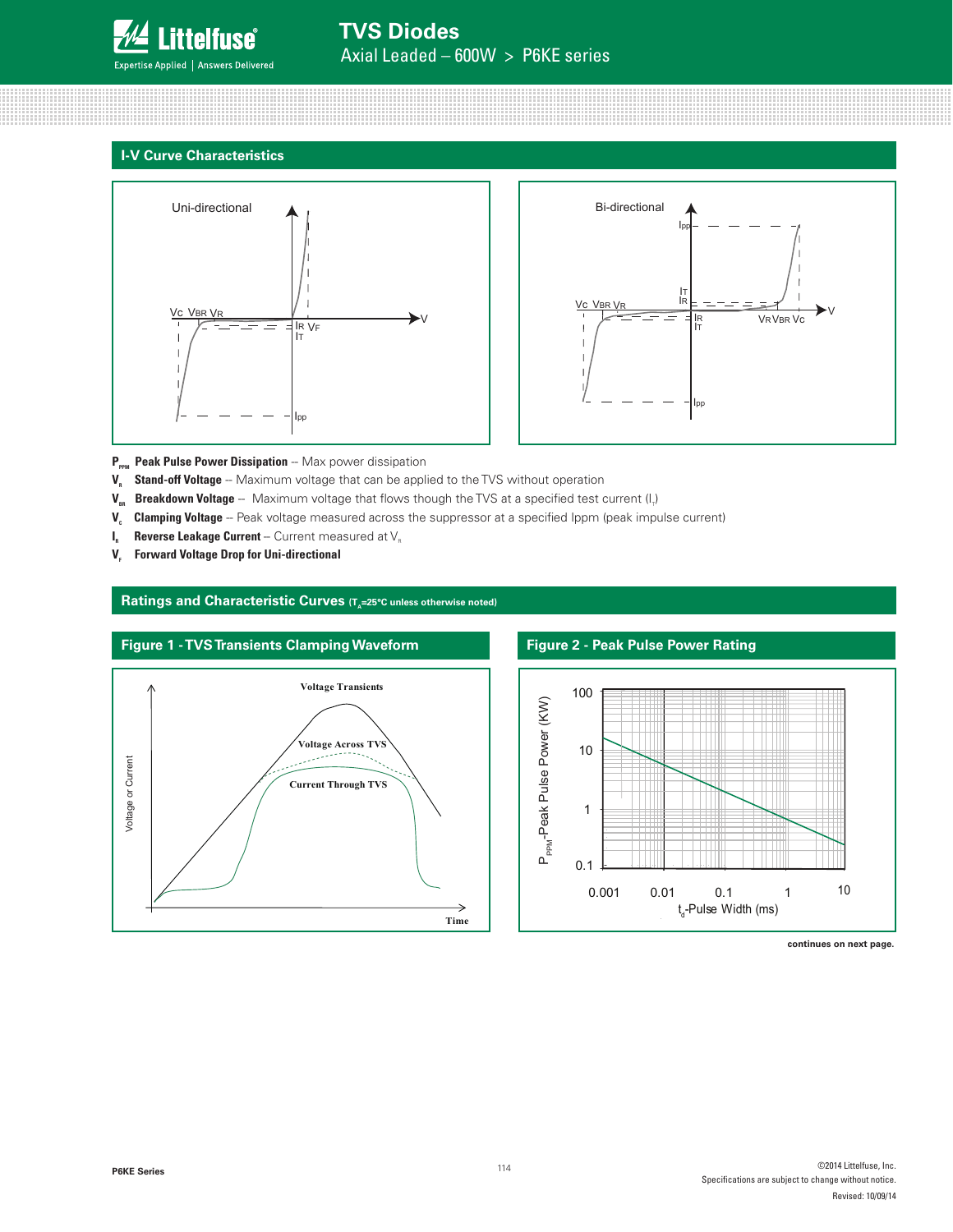

## **I-V Curve Characteristics**





**P<sub>PPM</sub>** Peak Pulse Power Dissipation -- Max power dissipation

- **V<sub>R</sub>** Stand-off Voltage -- Maximum voltage that can be applied to the TVS without operation
- **V<sub>BR</sub> Breakdown Voltage** -- Maximum voltage that flows though the TVS at a specified test current (I<sub>r</sub>)
- **V.** Clamping Voltage -- Peak voltage measured across the suppressor at a specified Ippm (peak impulse current)
- **I<sub>R</sub>** Reverse Leakage Current -- Current measured at V<sub>R</sub>
- **V<sub>F</sub>** Forward Voltage Drop for Uni-directional

#### Ratings and Characteristic Curves (T<sub>a</sub>=25°C unless otherwise noted)





**continues on next page.**

**P6KE Series**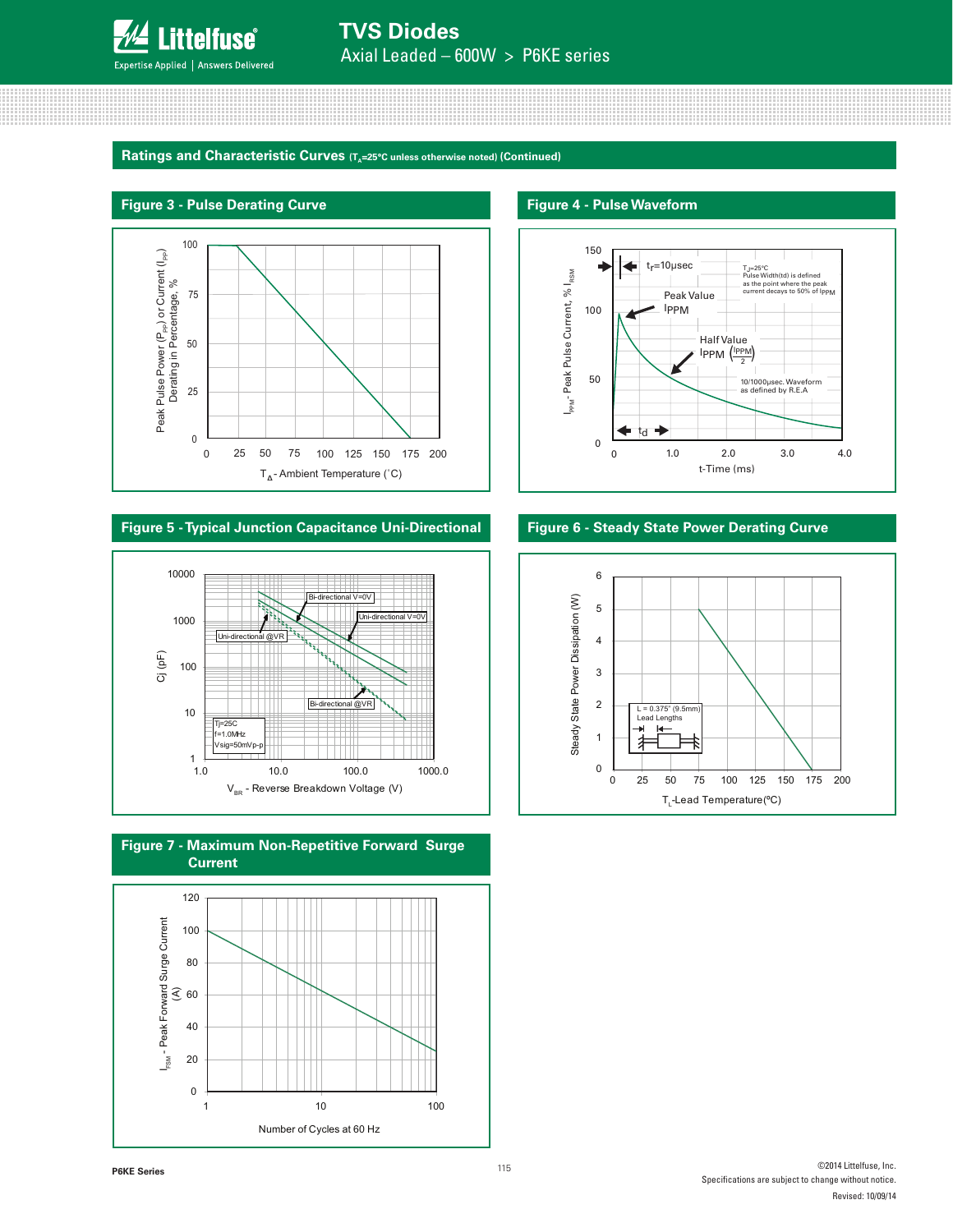

**Ratings and Characteristic Curves (T<sub>A</sub>=25°C unless otherwise noted) (Continued)** 



#### **Figure 5 - Typical Junction Capacitance Uni-Directional**







#### **Figure 4 - Pulse Waveform**



#### **Figure 6 - Steady State Power Derating Curve**

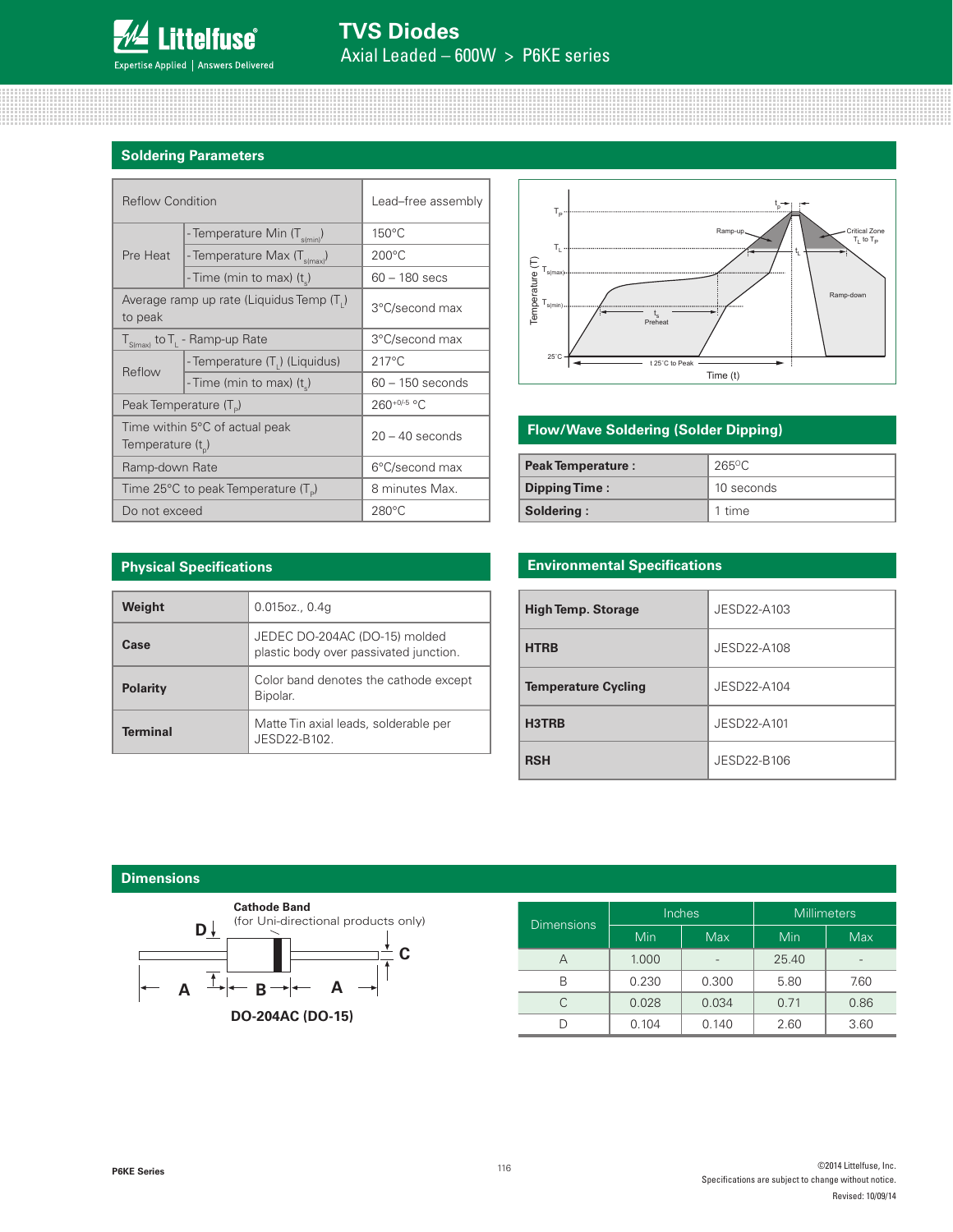

## **Soldering Parameters**

| <b>Reflow Condition</b>            |                                                       | Lead-free assembly |  |
|------------------------------------|-------------------------------------------------------|--------------------|--|
|                                    | - Temperature Min (T <sub>s(min</sub> )               | $150^{\circ}$ C    |  |
| Pre Heat                           | - Temperature Max (T <sub>s(max)</sub> )              | $200^{\circ}$ C    |  |
|                                    | - Time (min to max) $(t_s)$                           | $60 - 180$ secs    |  |
| to peak                            | Average ramp up rate (Liquidus Temp (T <sub>1</sub> ) | 3°C/second max     |  |
|                                    | $T_{S(max)}$ to $T_{L}$ - Ramp-up Rate                | 3°C/second max     |  |
|                                    | - Temperature (T <sub>1</sub> ) (Liquidus)            | $217^{\circ}$ C    |  |
| Reflow                             | - Time (min to max) (t)                               | $60 - 150$ seconds |  |
| Peak Temperature (T <sub>D</sub> ) |                                                       | 260+0/-5 °C        |  |
| Temperature $(t_{p})$              | Time within 5°C of actual peak                        | $20 - 40$ seconds  |  |
| Ramp-down Rate                     |                                                       | 6°C/second max     |  |
|                                    | Time 25°C to peak Temperature (T <sub>o</sub> )       | 8 minutes Max.     |  |
| Do not exceed                      |                                                       | $280^{\circ}$ C    |  |



## **Flow/Wave Soldering (Solder Dipping)**

| <b>Peak Temperature:</b> | 265°C      |  |
|--------------------------|------------|--|
| <b>Dipping Time:</b>     | 10 seconds |  |
| Soldering:               | 1 time     |  |

#### **Physical Specifications**

| Weight          | $0.015$ oz., $0.4g$                                                     |
|-----------------|-------------------------------------------------------------------------|
| Case            | JEDEC DO-204AC (DO-15) molded<br>plastic body over passivated junction. |
| <b>Polarity</b> | Color band denotes the cathode except<br>Bipolar.                       |
| Terminal        | Matte Tin axial leads, solderable per<br>JFSD22-B102                    |

## **Environmental Specifications**

| <b>High Temp. Storage</b>  | JESD22-A103 |
|----------------------------|-------------|
| <b>HTRB</b>                | JESD22-A108 |
| <b>Temperature Cycling</b> | JESD22-A104 |
| H3TRB                      | JESD22-A101 |
| <b>RSH</b>                 | JESD22-B106 |

#### **Dimensions**



| <b>Dimensions</b> |       | Inches     | <b>Millimeters</b> |            |  |
|-------------------|-------|------------|--------------------|------------|--|
|                   | Min   | <b>Max</b> | Min                | <b>Max</b> |  |
| А                 | 1.000 |            | 25.40              |            |  |
| R                 | 0.230 | 0.300      | 5.80               | 7.60       |  |
|                   | 0.028 | 0.034      | 0.71               | 0.86       |  |
|                   | 0.104 | 0.140      | 2.60               | 3.60       |  |